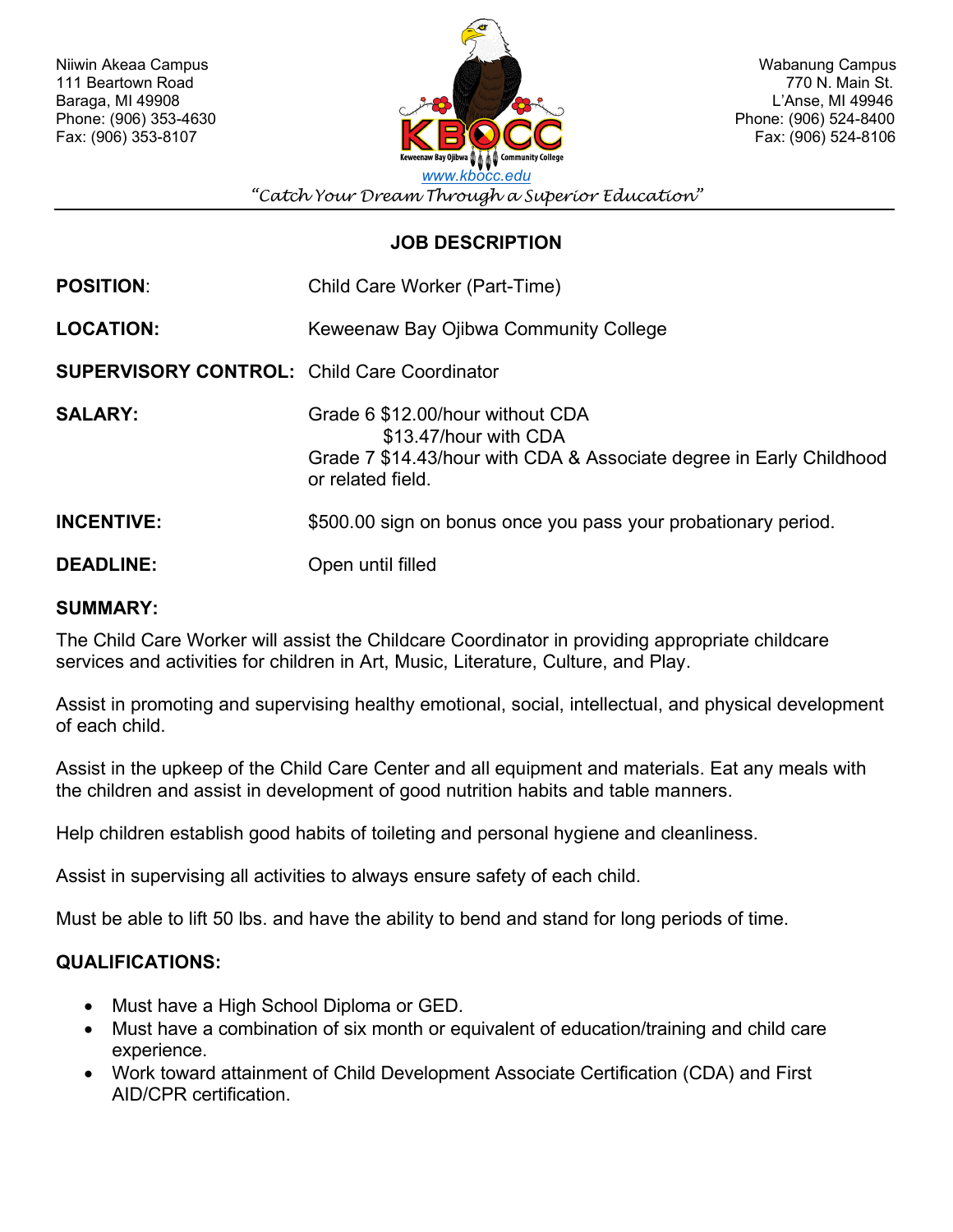

Fax: (906) 524-8106

*"Catch Your Dream Through a Superior Education"*

# **JOB DESCRIPTION**

| <b>POSITION:</b>                                   | Child Care Worker (Part-Time)                                                                                                                         |
|----------------------------------------------------|-------------------------------------------------------------------------------------------------------------------------------------------------------|
| <b>LOCATION:</b>                                   | Keweenaw Bay Ojibwa Community College                                                                                                                 |
| <b>SUPERVISORY CONTROL: Child Care Coordinator</b> |                                                                                                                                                       |
| <b>SALARY:</b>                                     | Grade 6 \$12.00/hour without CDA<br>\$13.47/hour with CDA<br>Grade 7 \$14.43/hour with CDA & Associate degree in Early Childhood<br>or related field. |
| <b>INCENTIVE:</b>                                  | \$500.00 sign on bonus once you pass your probationary period.                                                                                        |
| <b>DEADLINE:</b>                                   | Open until filled                                                                                                                                     |

### **SUMMARY:**

The Child Care Worker will assist the Childcare Coordinator in providing appropriate childcare services and activities for children in Art, Music, Literature, Culture, and Play.

Assist in promoting and supervising healthy emotional, social, intellectual, and physical development of each child.

Assist in the upkeep of the Child Care Center and all equipment and materials. Eat any meals with the children and assist in development of good nutrition habits and table manners.

Help children establish good habits of toileting and personal hygiene and cleanliness.

Assist in supervising all activities to always ensure safety of each child.

Must be able to lift 50 lbs. and have the ability to bend and stand for long periods of time.

# **QUALIFICATIONS:**

- Must have a High School Diploma or GED.
- Must have a combination of six month or equivalent of education/training and child care experience.
- Work toward attainment of Child Development Associate Certification (CDA) and First AID/CPR certification.